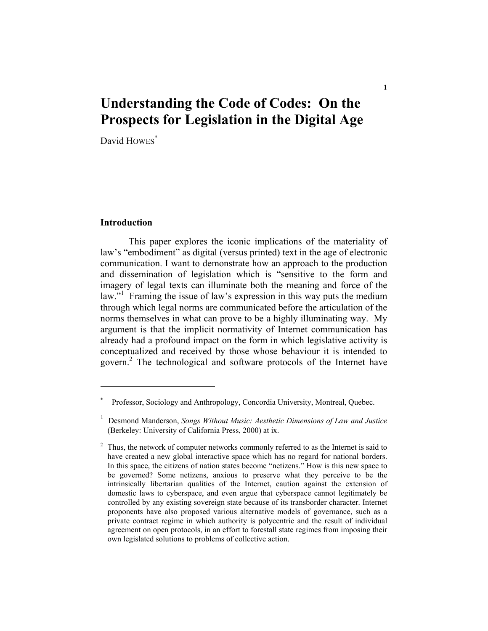## **Understanding the Code of Codes: On the Prospects for Legislation in the Digital Age**

**1** 

David HOWES<sup>\*</sup>

## **Introduction**

 This paper explores the iconic implications of the materiality of law's "embodiment" as digital (versus printed) text in the age of electronic communication. I want to demonstrate how an approach to the production and dissemination of legislation which is "sensitive to the form and imagery of legal texts can illuminate both the meaning and force of the law."<sup>1</sup> Framing the issue of law's expression in this way puts the medium through which legal norms are communicated before the articulation of the norms themselves in what can prove to be a highly illuminating way. My argument is that the implicit normativity of Internet communication has already had a profound impact on the form in which legislative activity is conceptualized and received by those whose behaviour it is intended to govern.<sup>2</sup> The technological and software protocols of the Internet have

<sup>\*</sup> Professor, Sociology and Anthropology, Concordia University, Montreal, Quebec.

<sup>1</sup> Desmond Manderson, *Songs Without Music: Aesthetic Dimensions of Law and Justice* (Berkeley: University of California Press, 2000) at ix.

 $2$  Thus, the network of computer networks commonly referred to as the Internet is said to have created a new global interactive space which has no regard for national borders. In this space, the citizens of nation states become "netizens." How is this new space to be governed? Some netizens, anxious to preserve what they perceive to be the intrinsically libertarian qualities of the Internet, caution against the extension of domestic laws to cyberspace, and even argue that cyberspace cannot legitimately be controlled by any existing sovereign state because of its transborder character. Internet proponents have also proposed various alternative models of governance, such as a private contract regime in which authority is polycentric and the result of individual agreement on open protocols, in an effort to forestall state regimes from imposing their own legislated solutions to problems of collective action.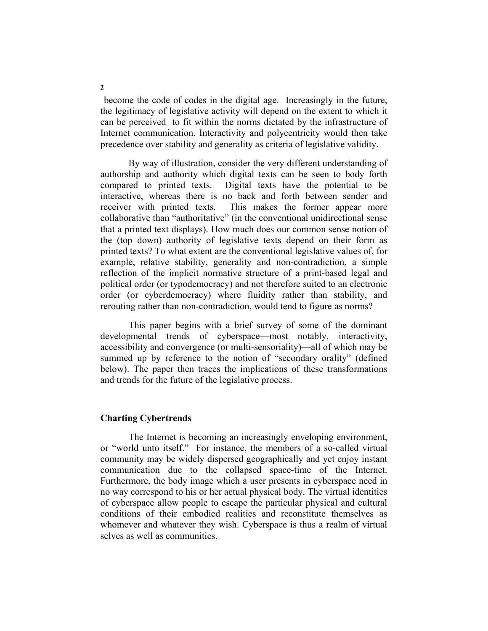become the code of codes in the digital age. Increasingly in the future, the legitimacy of legislative activity will depend on the extent to which it can be perceived to fit within the norms dictated by the infrastructure of Internet communication. Interactivity and polycentricity would then take precedence over stability and generality as criteria of legislative validity.

 By way of illustration, consider the very different understanding of authorship and authority which digital texts can be seen to body forth compared to printed texts. Digital texts have the potential to be interactive, whereas there is no back and forth between sender and receiver with printed texts. This makes the former appear more collaborative than "authoritative" (in the conventional unidirectional sense that a printed text displays). How much does our common sense notion of the (top down) authority of legislative texts depend on their form as printed texts? To what extent are the conventional legislative values of, for example, relative stability, generality and non-contradiction, a simple reflection of the implicit normative structure of a print-based legal and political order (or typodemocracy) and not therefore suited to an electronic order (or cyberdemocracy) where fluidity rather than stability, and rerouting rather than non-contradiction, would tend to figure as norms?

 This paper begins with a brief survey of some of the dominant developmental trends of cyberspace—most notably, interactivity, accessibility and convergence (or multi-sensoriality)—all of which may be summed up by reference to the notion of "secondary orality" (defined below). The paper then traces the implications of these transformations and trends for the future of the legislative process.

## **Charting Cybertrends**

 The Internet is becoming an increasingly enveloping environment, or "world unto itself." For instance, the members of a so-called virtual community may be widely dispersed geographically and yet enjoy instant communication due to the collapsed space-time of the Internet. Furthermore, the body image which a user presents in cyberspace need in no way correspond to his or her actual physical body. The virtual identities of cyberspace allow people to escape the particular physical and cultural conditions of their embodied realities and reconstitute themselves as whomever and whatever they wish. Cyberspace is thus a realm of virtual selves as well as communities.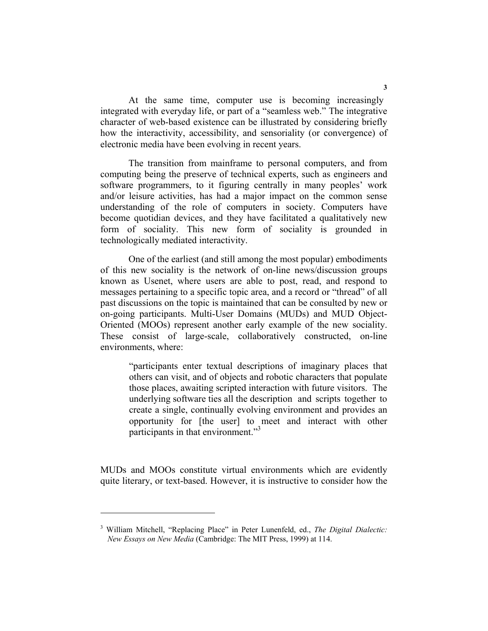At the same time, computer use is becoming increasingly integrated with everyday life, or part of a "seamless web." The integrative character of web-based existence can be illustrated by considering briefly how the interactivity, accessibility, and sensoriality (or convergence) of electronic media have been evolving in recent years.

 The transition from mainframe to personal computers, and from computing being the preserve of technical experts, such as engineers and software programmers, to it figuring centrally in many peoples' work and/or leisure activities, has had a major impact on the common sense understanding of the role of computers in society. Computers have become quotidian devices, and they have facilitated a qualitatively new form of sociality. This new form of sociality is grounded in technologically mediated interactivity.

 One of the earliest (and still among the most popular) embodiments of this new sociality is the network of on-line news/discussion groups known as Usenet, where users are able to post, read, and respond to messages pertaining to a specific topic area, and a record or "thread" of all past discussions on the topic is maintained that can be consulted by new or on-going participants. Multi-User Domains (MUDs) and MUD Object-Oriented (MOOs) represent another early example of the new sociality. These consist of large-scale, collaboratively constructed, on-line environments, where:

"participants enter textual descriptions of imaginary places that others can visit, and of objects and robotic characters that populate those places, awaiting scripted interaction with future visitors. The underlying software ties all the description and scripts together to create a single, continually evolving environment and provides an opportunity for [the user] to meet and interact with other participants in that environment."<sup>3</sup>

MUDs and MOOs constitute virtual environments which are evidently quite literary, or text-based. However, it is instructive to consider how the

<sup>3</sup> William Mitchell, "Replacing Place" in Peter Lunenfeld, ed., *The Digital Dialectic: New Essays on New Media* (Cambridge: The MIT Press, 1999) at 114.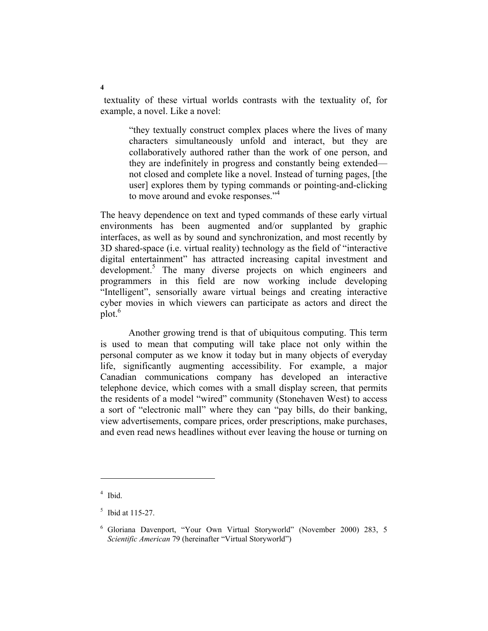textuality of these virtual worlds contrasts with the textuality of, for example, a novel. Like a novel:

"they textually construct complex places where the lives of many characters simultaneously unfold and interact, but they are collaboratively authored rather than the work of one person, and they are indefinitely in progress and constantly being extended not closed and complete like a novel. Instead of turning pages, [the user] explores them by typing commands or pointing-and-clicking to move around and evoke responses."<sup>4</sup>

The heavy dependence on text and typed commands of these early virtual environments has been augmented and/or supplanted by graphic interfaces, as well as by sound and synchronization, and most recently by 3D shared-space (i.e. virtual reality) technology as the field of "interactive digital entertainment" has attracted increasing capital investment and development.<sup>5</sup> The many diverse projects on which engineers and programmers in this field are now working include developing "Intelligent", sensorially aware virtual beings and creating interactive cyber movies in which viewers can participate as actors and direct the  $plot<sup>6</sup>$ 

 Another growing trend is that of ubiquitous computing. This term is used to mean that computing will take place not only within the personal computer as we know it today but in many objects of everyday life, significantly augmenting accessibility. For example, a major Canadian communications company has developed an interactive telephone device, which comes with a small display screen, that permits the residents of a model "wired" community (Stonehaven West) to access a sort of "electronic mall" where they can "pay bills, do their banking, view advertisements, compare prices, order prescriptions, make purchases, and even read news headlines without ever leaving the house or turning on

<sup>4</sup> Ibid.

 $5$  Ibid at 115-27.

<sup>6</sup> Gloriana Davenport, "Your Own Virtual Storyworld" (November 2000) 283, 5 *Scientific American* 79 (hereinafter "Virtual Storyworld")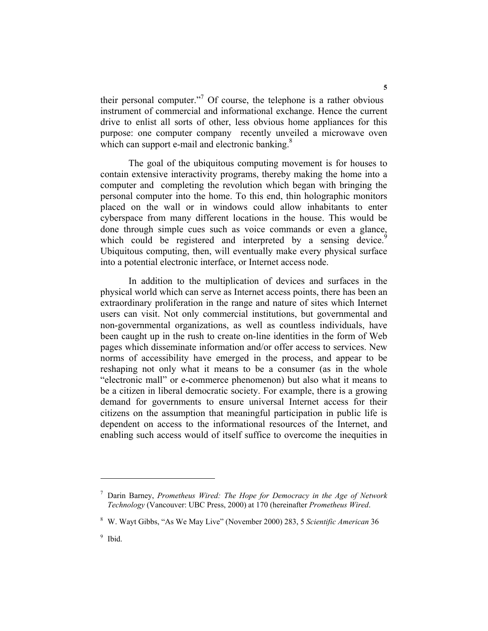their personal computer."<sup>7</sup> Of course, the telephone is a rather obvious instrument of commercial and informational exchange. Hence the current drive to enlist all sorts of other, less obvious home appliances for this purpose: one computer company recently unveiled a microwave oven which can support e-mail and electronic banking.<sup>8</sup>

 The goal of the ubiquitous computing movement is for houses to contain extensive interactivity programs, thereby making the home into a computer and completing the revolution which began with bringing the personal computer into the home. To this end, thin holographic monitors placed on the wall or in windows could allow inhabitants to enter cyberspace from many different locations in the house. This would be done through simple cues such as voice commands or even a glance, which could be registered and interpreted by a sensing device.<sup>9</sup> Ubiquitous computing, then, will eventually make every physical surface into a potential electronic interface, or Internet access node.

 In addition to the multiplication of devices and surfaces in the physical world which can serve as Internet access points, there has been an extraordinary proliferation in the range and nature of sites which Internet users can visit. Not only commercial institutions, but governmental and non-governmental organizations, as well as countless individuals, have been caught up in the rush to create on-line identities in the form of Web pages which disseminate information and/or offer access to services. New norms of accessibility have emerged in the process, and appear to be reshaping not only what it means to be a consumer (as in the whole "electronic mall" or e-commerce phenomenon) but also what it means to be a citizen in liberal democratic society. For example, there is a growing demand for governments to ensure universal Internet access for their citizens on the assumption that meaningful participation in public life is dependent on access to the informational resources of the Internet, and enabling such access would of itself suffice to overcome the inequities in

<sup>7</sup> Darin Barney, *Prometheus Wired: The Hope for Democracy in the Age of Network Technology* (Vancouver: UBC Press, 2000) at 170 (hereinafter *Prometheus Wired*.

<sup>8</sup> W. Wayt Gibbs, "As We May Live" (November 2000) 283, 5 *Scientific American* 36

<sup>&</sup>lt;sup>9</sup> Ibid.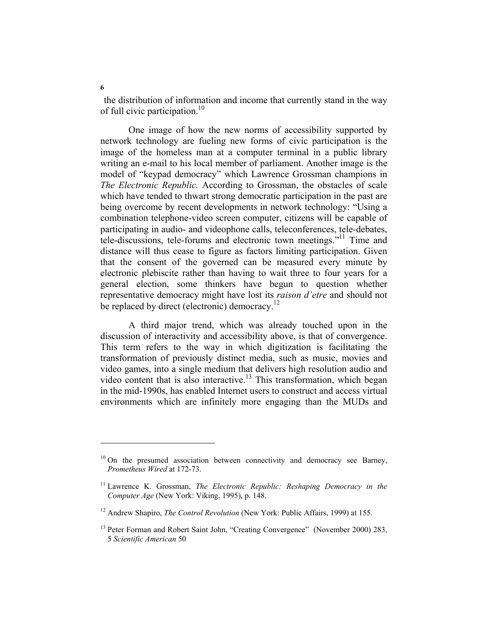the distribution of information and income that currently stand in the way of full civic participation.<sup>10</sup>

 One image of how the new norms of accessibility supported by network technology are fueling new forms of civic participation is the image of the homeless man at a computer terminal in a public library writing an e-mail to his local member of parliament. Another image is the model of "keypad democracy" which Lawrence Grossman champions in *The Electronic Republic.* According to Grossman, the obstacles of scale which have tended to thwart strong democratic participation in the past are being overcome by recent developments in network technology: "Using a combination telephone-video screen computer, citizens will be capable of participating in audio- and videophone calls, teleconferences, tele-debates, tele-discussions, tele-forums and electronic town meetings."11 Time and distance will thus cease to figure as factors limiting participation. Given that the consent of the governed can be measured every minute by electronic plebiscite rather than having to wait three to four years for a general election, some thinkers have begun to question whether representative democracy might have lost its *raison d'etre* and should not be replaced by direct (electronic) democracy.<sup>12</sup>

 A third major trend, which was already touched upon in the discussion of interactivity and accessibility above, is that of convergence. This term refers to the way in which digitization is facilitating the transformation of previously distinct media, such as music, movies and video games, into a single medium that delivers high resolution audio and video content that is also interactive.<sup>13</sup> This transformation, which began in the mid-1990s, has enabled Internet users to construct and access virtual environments which are infinitely more engaging than the MUDs and

**6** 

 $10$  On the presumed association between connectivity and democracy see Barney, *Prometheus Wired* at 172-73.

<sup>&</sup>lt;sup>11</sup> Lawrence K. Grossman, *The Electronic Republic: Reshaping Democracy in the Computer Age* (New York: Viking, 1995), p. 148.

<sup>&</sup>lt;sup>12</sup> Andrew Shapiro, *The Control Revolution* (New York: Public Affairs, 1999) at 155.

<sup>&</sup>lt;sup>13</sup> Peter Forman and Robert Saint John, "Creating Convergence" (November 2000) 283, 5 *Scientific American* 50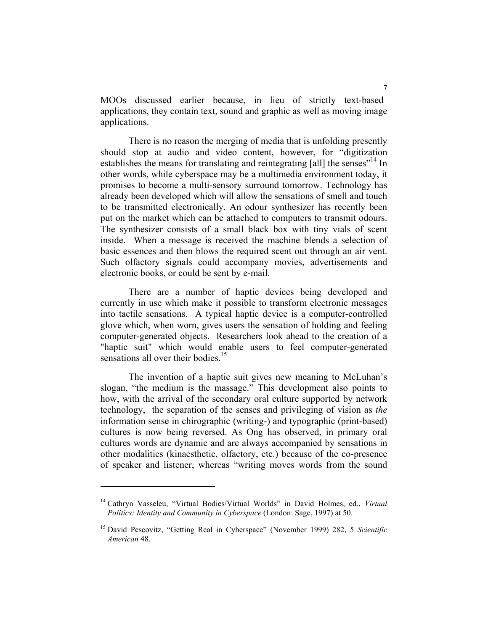MOOs discussed earlier because, in lieu of strictly text-based applications, they contain text, sound and graphic as well as moving image applications.

 There is no reason the merging of media that is unfolding presently should stop at audio and video content, however, for "digitization establishes the means for translating and reintegrating [all] the senses<sup>"14</sup> In other words, while cyberspace may be a multimedia environment today, it promises to become a multi-sensory surround tomorrow. Technology has already been developed which will allow the sensations of smell and touch to be transmitted electronically. An odour synthesizer has recently been put on the market which can be attached to computers to transmit odours. The synthesizer consists of a small black box with tiny vials of scent inside. When a message is received the machine blends a selection of basic essences and then blows the required scent out through an air vent. Such olfactory signals could accompany movies, advertisements and electronic books, or could be sent by e-mail.

 There are a number of haptic devices being developed and currently in use which make it possible to transform electronic messages into tactile sensations. A typical haptic device is a computer-controlled glove which, when worn, gives users the sensation of holding and feeling computer-generated objects. Researchers look ahead to the creation of a "haptic suit" which would enable users to feel computer-generated sensations all over their bodies.<sup>15</sup>

 The invention of a haptic suit gives new meaning to McLuhan's slogan, "the medium is the massage." This development also points to how, with the arrival of the secondary oral culture supported by network technology, the separation of the senses and privileging of vision as *the* information sense in chirographic (writing-) and typographic (print-based) cultures is now being reversed. As Ong has observed, in primary oral cultures words are dynamic and are always accompanied by sensations in other modalities (kinaesthetic, olfactory, etc.) because of the co-presence of speaker and listener, whereas "writing moves words from the sound

<sup>14</sup> Cathryn Vasseleu, "Virtual Bodies/Virtual Worlds" in David Holmes, ed., *Virtual Politics: Identity and Community in Cyberspace* (London: Sage, 1997) at 50.

<sup>15</sup> David Pescovitz, "Getting Real in Cyberspace" (November 1999) 282, 5 *Scientific American* 48.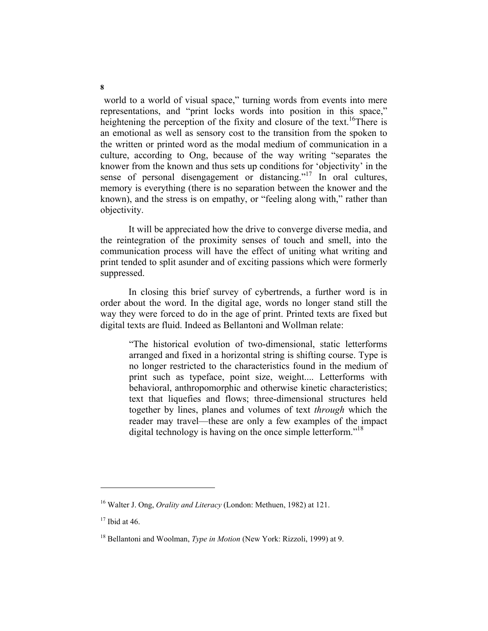world to a world of visual space," turning words from events into mere representations, and "print locks words into position in this space," heightening the perception of the fixity and closure of the text.<sup>16</sup>There is an emotional as well as sensory cost to the transition from the spoken to the written or printed word as the modal medium of communication in a culture, according to Ong, because of the way writing "separates the knower from the known and thus sets up conditions for 'objectivity' in the sense of personal disengagement or distancing."17 In oral cultures, memory is everything (there is no separation between the knower and the known), and the stress is on empathy, or "feeling along with," rather than objectivity.

 It will be appreciated how the drive to converge diverse media, and the reintegration of the proximity senses of touch and smell, into the communication process will have the effect of uniting what writing and print tended to split asunder and of exciting passions which were formerly suppressed.

 In closing this brief survey of cybertrends, a further word is in order about the word. In the digital age, words no longer stand still the way they were forced to do in the age of print. Printed texts are fixed but digital texts are fluid. Indeed as Bellantoni and Wollman relate:

"The historical evolution of two-dimensional, static letterforms arranged and fixed in a horizontal string is shifting course. Type is no longer restricted to the characteristics found in the medium of print such as typeface, point size, weight.... Letterforms with behavioral, anthropomorphic and otherwise kinetic characteristics; text that liquefies and flows; three-dimensional structures held together by lines, planes and volumes of text *through* which the reader may travel—these are only a few examples of the impact digital technology is having on the once simple letterform."<sup>18</sup>

<sup>16</sup> Walter J. Ong, *Orality and Literacy* (London: Methuen, 1982) at 121.

 $17$  Ibid at 46.

<sup>18</sup> Bellantoni and Woolman, *Type in Motion* (New York: Rizzoli, 1999) at 9.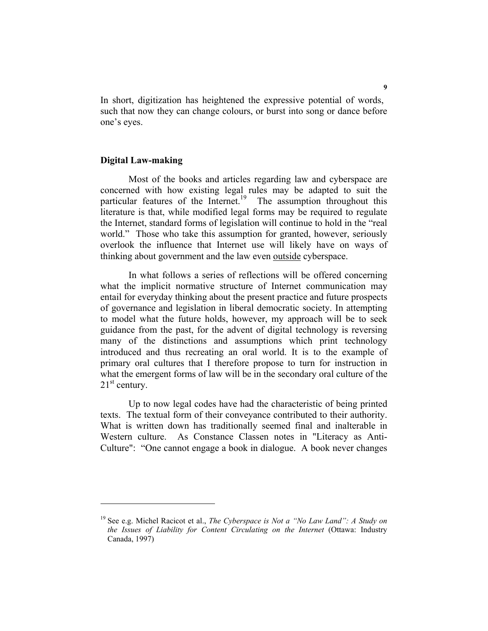In short, digitization has heightened the expressive potential of words, such that now they can change colours, or burst into song or dance before one's eyes.

## **Digital Law-making**

 Most of the books and articles regarding law and cyberspace are concerned with how existing legal rules may be adapted to suit the particular features of the Internet.<sup>19</sup> The assumption throughout this literature is that, while modified legal forms may be required to regulate the Internet, standard forms of legislation will continue to hold in the "real world." Those who take this assumption for granted, however, seriously overlook the influence that Internet use will likely have on ways of thinking about government and the law even outside cyberspace.

 In what follows a series of reflections will be offered concerning what the implicit normative structure of Internet communication may entail for everyday thinking about the present practice and future prospects of governance and legislation in liberal democratic society. In attempting to model what the future holds, however, my approach will be to seek guidance from the past, for the advent of digital technology is reversing many of the distinctions and assumptions which print technology introduced and thus recreating an oral world. It is to the example of primary oral cultures that I therefore propose to turn for instruction in what the emergent forms of law will be in the secondary oral culture of the  $21<sup>st</sup>$  century.

 Up to now legal codes have had the characteristic of being printed texts. The textual form of their conveyance contributed to their authority. What is written down has traditionally seemed final and inalterable in Western culture. As Constance Classen notes in "Literacy as Anti-Culture": "One cannot engage a book in dialogue. A book never changes

<sup>19</sup> See e.g. Michel Racicot et al., *The Cyberspace is Not a "No Law Land": A Study on the Issues of Liability for Content Circulating on the Internet* (Ottawa: Industry Canada, 1997)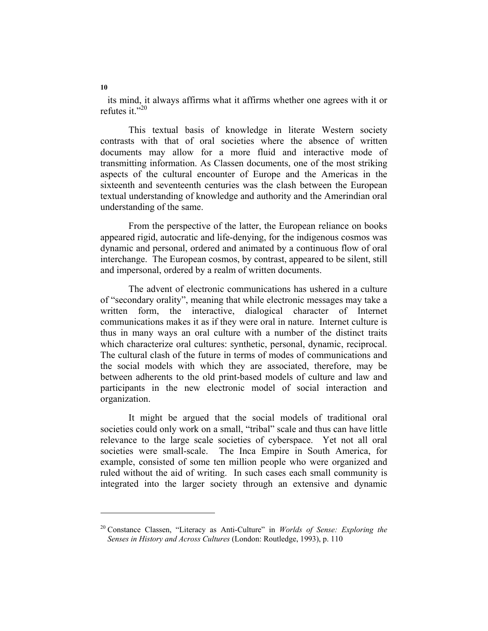its mind, it always affirms what it affirms whether one agrees with it or refutes it  $"20"$ 

 This textual basis of knowledge in literate Western society contrasts with that of oral societies where the absence of written documents may allow for a more fluid and interactive mode of transmitting information. As Classen documents, one of the most striking aspects of the cultural encounter of Europe and the Americas in the sixteenth and seventeenth centuries was the clash between the European textual understanding of knowledge and authority and the Amerindian oral understanding of the same.

 From the perspective of the latter, the European reliance on books appeared rigid, autocratic and life-denying, for the indigenous cosmos was dynamic and personal, ordered and animated by a continuous flow of oral interchange. The European cosmos, by contrast, appeared to be silent, still and impersonal, ordered by a realm of written documents.

 The advent of electronic communications has ushered in a culture of "secondary orality", meaning that while electronic messages may take a written form, the interactive, dialogical character of Internet communications makes it as if they were oral in nature. Internet culture is thus in many ways an oral culture with a number of the distinct traits which characterize oral cultures: synthetic, personal, dynamic, reciprocal. The cultural clash of the future in terms of modes of communications and the social models with which they are associated, therefore, may be between adherents to the old print-based models of culture and law and participants in the new electronic model of social interaction and organization.

 It might be argued that the social models of traditional oral societies could only work on a small, "tribal" scale and thus can have little relevance to the large scale societies of cyberspace. Yet not all oral societies were small-scale. The Inca Empire in South America, for example, consisted of some ten million people who were organized and ruled without the aid of writing. In such cases each small community is integrated into the larger society through an extensive and dynamic

**10** 

<sup>20</sup> Constance Classen, "Literacy as Anti-Culture" in *Worlds of Sense: Exploring the Senses in History and Across Cultures* (London: Routledge, 1993), p. 110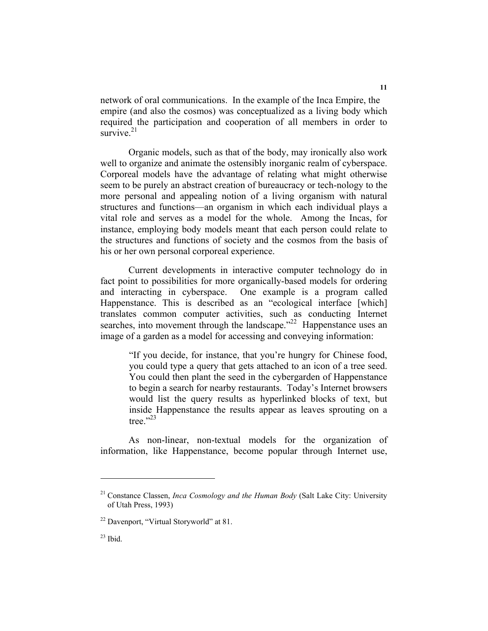network of oral communications. In the example of the Inca Empire, the empire (and also the cosmos) was conceptualized as a living body which required the participation and cooperation of all members in order to survive $21$ 

 Organic models, such as that of the body, may ironically also work well to organize and animate the ostensibly inorganic realm of cyberspace. Corporeal models have the advantage of relating what might otherwise seem to be purely an abstract creation of bureaucracy or tech-nology to the more personal and appealing notion of a living organism with natural structures and functions—an organism in which each individual plays a vital role and serves as a model for the whole. Among the Incas, for instance, employing body models meant that each person could relate to the structures and functions of society and the cosmos from the basis of his or her own personal corporeal experience.

 Current developments in interactive computer technology do in fact point to possibilities for more organically-based models for ordering and interacting in cyberspace. One example is a program called Happenstance. This is described as an "ecological interface [which] translates common computer activities, such as conducting Internet searches, into movement through the landscape."<sup>22</sup> Happenstance uses an image of a garden as a model for accessing and conveying information:

"If you decide, for instance, that you're hungry for Chinese food, you could type a query that gets attached to an icon of a tree seed. You could then plant the seed in the cybergarden of Happenstance to begin a search for nearby restaurants. Today's Internet browsers would list the query results as hyperlinked blocks of text, but inside Happenstance the results appear as leaves sprouting on a tree." $^{23}$ 

 As non-linear, non-textual models for the organization of information, like Happenstance, become popular through Internet use,

**11** 

<sup>21</sup> Constance Classen, *Inca Cosmology and the Human Body* (Salt Lake City: University of Utah Press, 1993)

<sup>22</sup> Davenport, "Virtual Storyworld" at 81.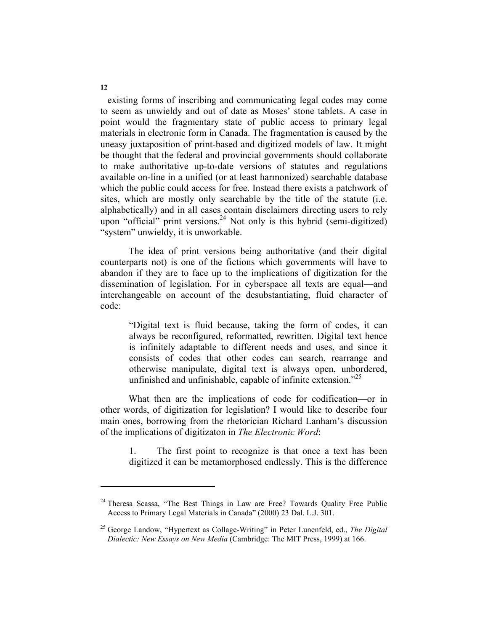existing forms of inscribing and communicating legal codes may come to seem as unwieldy and out of date as Moses' stone tablets. A case in point would the fragmentary state of public access to primary legal materials in electronic form in Canada. The fragmentation is caused by the uneasy juxtaposition of print-based and digitized models of law. It might be thought that the federal and provincial governments should collaborate to make authoritative up-to-date versions of statutes and regulations available on-line in a unified (or at least harmonized) searchable database which the public could access for free. Instead there exists a patchwork of sites, which are mostly only searchable by the title of the statute (i.e. alphabetically) and in all cases contain disclaimers directing users to rely upon "official" print versions.<sup>24</sup> Not only is this hybrid (semi-digitized) "system" unwieldy, it is unworkable.

 The idea of print versions being authoritative (and their digital counterparts not) is one of the fictions which governments will have to abandon if they are to face up to the implications of digitization for the dissemination of legislation. For in cyberspace all texts are equal—and interchangeable on account of the desubstantiating, fluid character of code:

"Digital text is fluid because, taking the form of codes, it can always be reconfigured, reformatted, rewritten. Digital text hence is infinitely adaptable to different needs and uses, and since it consists of codes that other codes can search, rearrange and otherwise manipulate, digital text is always open, unbordered, unfinished and unfinishable, capable of infinite extension.<sup>225</sup>

What then are the implications of code for codification—or in other words, of digitization for legislation? I would like to describe four main ones, borrowing from the rhetorician Richard Lanham's discussion of the implications of digitizaton in *The Electronic Word*:

 1. The first point to recognize is that once a text has been digitized it can be metamorphosed endlessly. This is the difference

**12** 

<sup>&</sup>lt;sup>24</sup> Theresa Scassa, "The Best Things in Law are Free? Towards Quality Free Public Access to Primary Legal Materials in Canada" (2000) 23 Dal. L.J. 301.

<sup>25</sup> George Landow, "Hypertext as Collage-Writing" in Peter Lunenfeld, ed., *The Digital Dialectic: New Essays on New Media* (Cambridge: The MIT Press, 1999) at 166.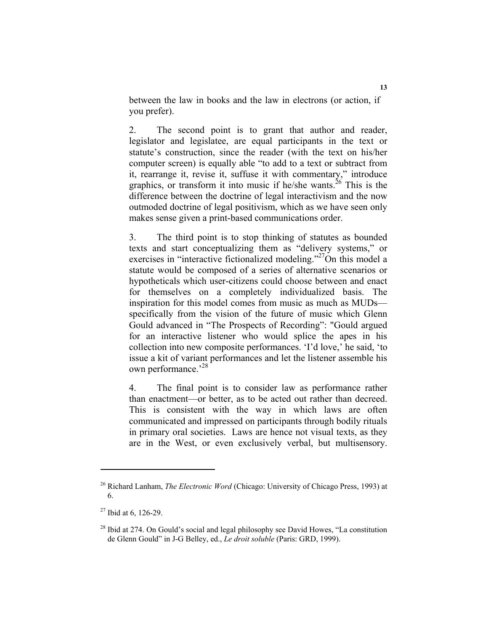between the law in books and the law in electrons (or action, if you prefer).

 2. The second point is to grant that author and reader, legislator and legislatee, are equal participants in the text or statute's construction, since the reader (with the text on his/her computer screen) is equally able "to add to a text or subtract from it, rearrange it, revise it, suffuse it with commentary," introduce graphics, or transform it into music if he/she wants.<sup>26</sup> This is the difference between the doctrine of legal interactivism and the now outmoded doctrine of legal positivism, which as we have seen only makes sense given a print-based communications order.

 3. The third point is to stop thinking of statutes as bounded texts and start conceptualizing them as "delivery systems," or exercises in "interactive fictionalized modeling."<sup>27</sup>On this model a statute would be composed of a series of alternative scenarios or hypotheticals which user-citizens could choose between and enact for themselves on a completely individualized basis. The inspiration for this model comes from music as much as MUDs specifically from the vision of the future of music which Glenn Gould advanced in "The Prospects of Recording": "Gould argued for an interactive listener who would splice the apes in his collection into new composite performances. 'I'd love,' he said, 'to issue a kit of variant performances and let the listener assemble his own performance.'<sup>28</sup>

4. The final point is to consider law as performance rather than enactment—or better, as to be acted out rather than decreed. This is consistent with the way in which laws are often communicated and impressed on participants through bodily rituals in primary oral societies. Laws are hence not visual texts, as they are in the West, or even exclusively verbal, but multisensory.

<sup>26</sup> Richard Lanham, *The Electronic Word* (Chicago: University of Chicago Press, 1993) at 6.

 $27$  Ibid at 6, 126-29.

 $^{28}$  Ibid at 274. On Gould's social and legal philosophy see David Howes, "La constitution" de Glenn Gould" in J-G Belley, ed., *Le droit soluble* (Paris: GRD, 1999).